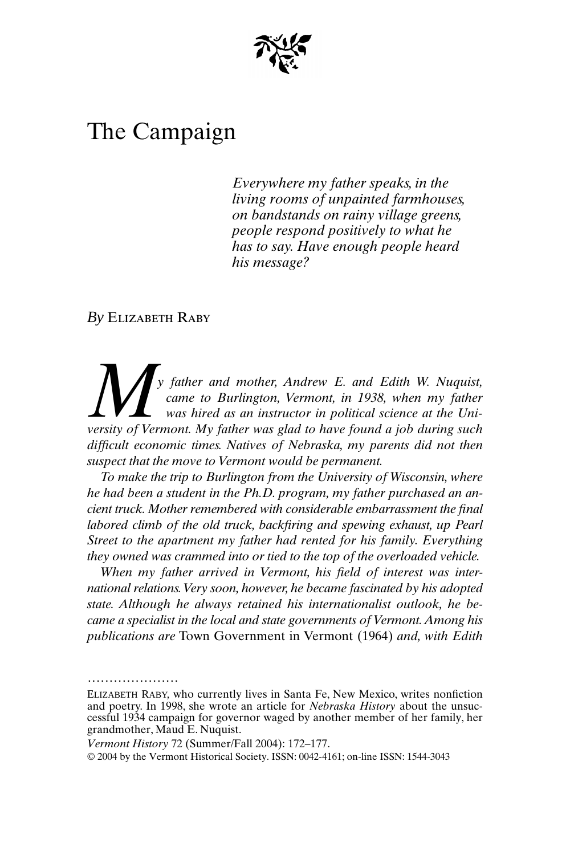

# The Campaign

*Everywhere my father speaks, in the living rooms of unpainted farmhouses, on bandstands on rainy village greens, people respond positively to what he has to say. Have enough people heard his message?*

*By* Elizabeth Raby

.....................

*y father and mother, Andrew E. and Edith W. Nuquist, came to Burlington, Vermont, in 1938, when my father was hired as an instructor in political science at the Univ* father and mother, Andrew E. and Edith W. Nuquist, came to Burlington, Vermont, in 1938, when my father was hired as an instructor in political science at the University of Vermont. My father was glad to have found a j *difficult economic times. Natives of Nebraska, my parents did not then suspect that the move to Vermont would be permanent.*

*To make the trip to Burlington from the University of Wisconsin, where he had been a student in the Ph.D. program, my father purchased an ancient truck. Mother remembered with considerable embarrassment the final labored climb of the old truck, backfiring and spewing exhaust, up Pearl Street to the apartment my father had rented for his family. Everything they owned was crammed into or tied to the top of the overloaded vehicle.*

*When my father arrived in Vermont, his field of interest was international relations. Very soon, however, he became fascinated by his adopted state. Although he always retained his internationalist outlook, he became a specialist in the local and state governments of Vermont. Among his publications are* Town Government in Vermont (1964) *and, with Edith*

ELIZABETH RABY*,* who currently lives in Santa Fe, New Mexico, writes nonfiction and poetry. In 1998, she wrote an article for *Nebraska History* about the unsuccessful 1934 campaign for governor waged by another member of her family, her grandmother, Maud E. Nuquist.

*Vermont History* 72 (Summer/Fall 2004): 172–177.

<sup>© 2004</sup> by the Vermont Historical Society. ISSN: 0042-4161; on-line ISSN: 1544-3043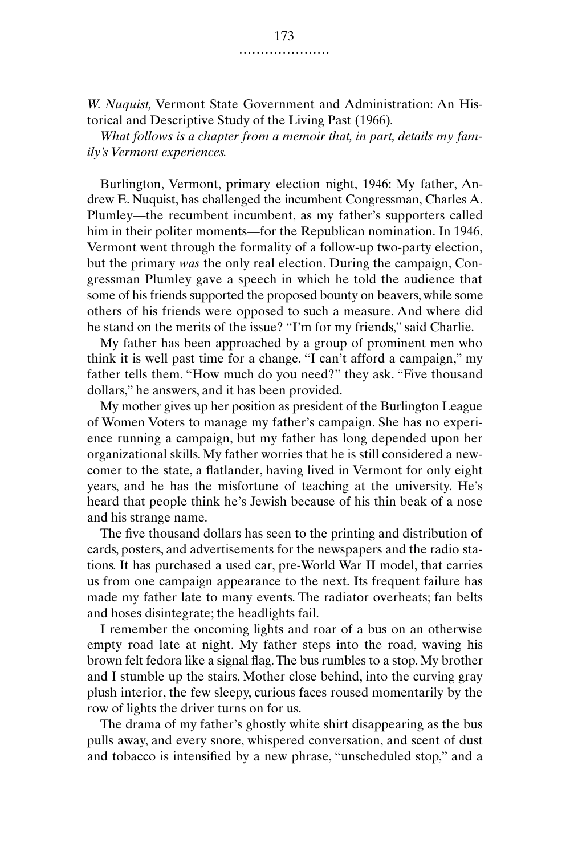*W. Nuquist,* Vermont State Government and Administration: An Historical and Descriptive Study of the Living Past (1966)*.*

*What follows is a chapter from a memoir that, in part, details my family's Vermont experiences.*

Burlington, Vermont, primary election night, 1946: My father, Andrew E. Nuquist, has challenged the incumbent Congressman, Charles A. Plumley—the recumbent incumbent, as my father's supporters called him in their politer moments—for the Republican nomination. In 1946, Vermont went through the formality of a follow-up two-party election, but the primary *was* the only real election. During the campaign, Congressman Plumley gave a speech in which he told the audience that some of his friends supported the proposed bounty on beavers, while some others of his friends were opposed to such a measure. And where did he stand on the merits of the issue? "I'm for my friends," said Charlie.

My father has been approached by a group of prominent men who think it is well past time for a change. "I can't afford a campaign," my father tells them. "How much do you need?" they ask. "Five thousand dollars," he answers, and it has been provided.

My mother gives up her position as president of the Burlington League of Women Voters to manage my father's campaign. She has no experience running a campaign, but my father has long depended upon her organizational skills. My father worries that he is still considered a newcomer to the state, a flatlander, having lived in Vermont for only eight years, and he has the misfortune of teaching at the university. He's heard that people think he's Jewish because of his thin beak of a nose and his strange name.

The five thousand dollars has seen to the printing and distribution of cards, posters, and advertisements for the newspapers and the radio stations. It has purchased a used car, pre-World War II model, that carries us from one campaign appearance to the next. Its frequent failure has made my father late to many events. The radiator overheats; fan belts and hoses disintegrate; the headlights fail.

I remember the oncoming lights and roar of a bus on an otherwise empty road late at night. My father steps into the road, waving his brown felt fedora like a signal flag. The bus rumbles to a stop. My brother and I stumble up the stairs, Mother close behind, into the curving gray plush interior, the few sleepy, curious faces roused momentarily by the row of lights the driver turns on for us.

The drama of my father's ghostly white shirt disappearing as the bus pulls away, and every snore, whispered conversation, and scent of dust and tobacco is intensified by a new phrase, "unscheduled stop," and a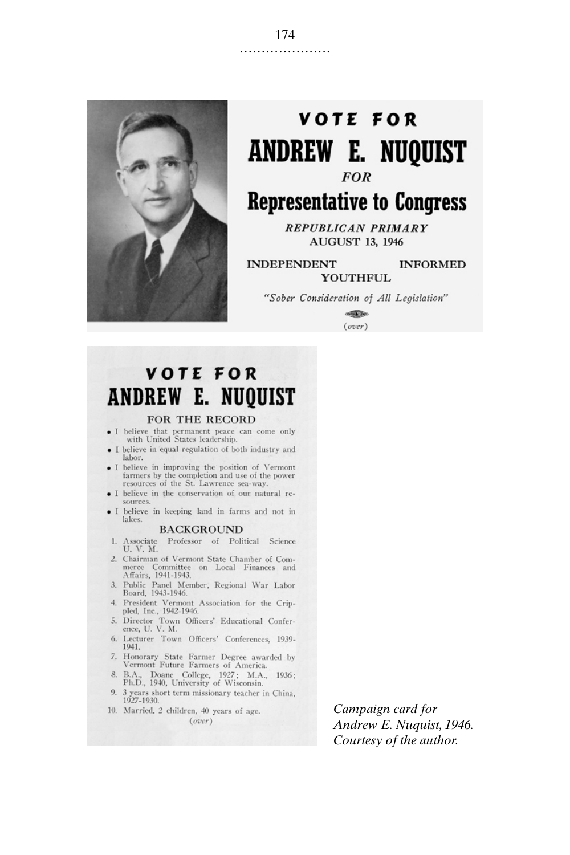

# **VOTE FOR ANDREW E. NUQUIST FOR**

## **Representative to Congress**

**REPUBLICAN PRIMARY AUGUST 13, 1946** 

**INDEPENDENT INFORMED** YOUTHFUL

"Sober Consideration of All Legislation"

**SERIES**  $(over)$ 

### **VOTE FOR ANDREW E. NUQUIST**

#### FOR THE RECORD

- I believe that permanent peace can come only with United States leadership.
- I believe in equal regulation of both industry and labor.
- I believe in improving the position of Vermont<br>farmers by the completion and use of the power resources of the St. Lawrence sea-way
- · I believe in the conservation of our natural resources.
- · I believe in keeping land in farms and not in lakes.

### **BACKGROUND**

- 1. Associate Professor of Political Science U. V. M.
- 2. Chairman of Vermont State Chamber of Com-Commerce Committee on Local Finances and<br>Affairs, 1941-1943.
- 3. Public Panel Member, Regional War Labor Board, 1943-1946.
- 4. President Vermont Association for the Crip-<br>pled, Inc., 1942-1946.
- 5. Director Town Officers' Educational Conference, U. V. M.
- 6. Lecturer Town Officers' Conferences, 1939-1941.
- 7. Honorary State Farmer Degree awarded by<br>Vermont Future Farmers of America.
- 8. B.A., Doane College, 1927; M.A., 1936;<br>Ph.D., 1940, University of Wisconsin.
- 9. 3 years short term missionary teacher in China, 1927-1930.
- 10. Married, 2 children, 40 years of age.  $(over)$

Campaign card for Andrew E. Nuquist, 1946. Courtesy of the author.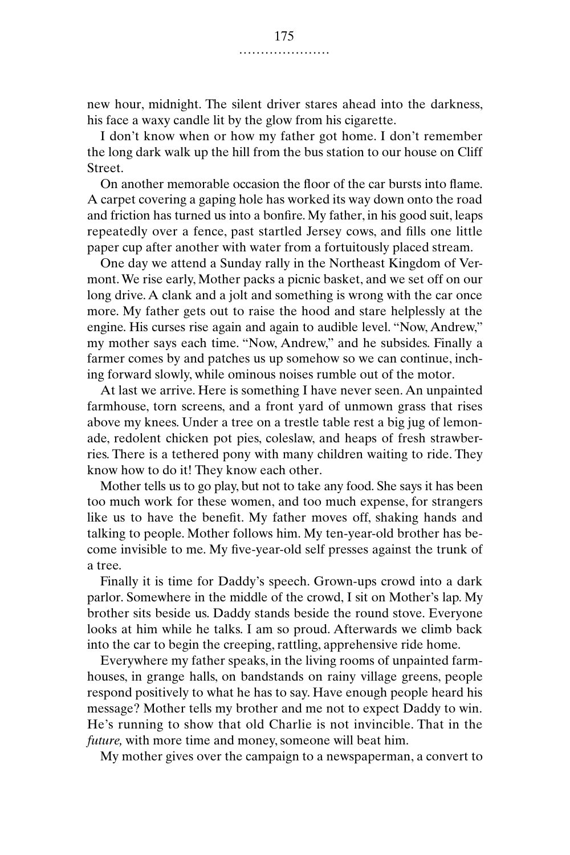new hour, midnight. The silent driver stares ahead into the darkness, his face a waxy candle lit by the glow from his cigarette.

I don't know when or how my father got home. I don't remember the long dark walk up the hill from the bus station to our house on Cliff Street.

On another memorable occasion the floor of the car bursts into flame. A carpet covering a gaping hole has worked its way down onto the road and friction has turned us into a bonfire. My father, in his good suit, leaps repeatedly over a fence, past startled Jersey cows, and fills one little paper cup after another with water from a fortuitously placed stream.

One day we attend a Sunday rally in the Northeast Kingdom of Vermont. We rise early, Mother packs a picnic basket, and we set off on our long drive. A clank and a jolt and something is wrong with the car once more. My father gets out to raise the hood and stare helplessly at the engine. His curses rise again and again to audible level. "Now, Andrew," my mother says each time. "Now, Andrew," and he subsides. Finally a farmer comes by and patches us up somehow so we can continue, inching forward slowly, while ominous noises rumble out of the motor.

At last we arrive. Here is something I have never seen. An unpainted farmhouse, torn screens, and a front yard of unmown grass that rises above my knees. Under a tree on a trestle table rest a big jug of lemonade, redolent chicken pot pies, coleslaw, and heaps of fresh strawberries. There is a tethered pony with many children waiting to ride. They know how to do it! They know each other.

Mother tells us to go play, but not to take any food. She says it has been too much work for these women, and too much expense, for strangers like us to have the benefit. My father moves off, shaking hands and talking to people. Mother follows him. My ten-year-old brother has become invisible to me. My five-year-old self presses against the trunk of a tree.

Finally it is time for Daddy's speech. Grown-ups crowd into a dark parlor. Somewhere in the middle of the crowd, I sit on Mother's lap. My brother sits beside us. Daddy stands beside the round stove. Everyone looks at him while he talks. I am so proud. Afterwards we climb back into the car to begin the creeping, rattling, apprehensive ride home.

Everywhere my father speaks, in the living rooms of unpainted farmhouses, in grange halls, on bandstands on rainy village greens, people respond positively to what he has to say. Have enough people heard his message? Mother tells my brother and me not to expect Daddy to win. He's running to show that old Charlie is not invincible. That in the *future,* with more time and money, someone will beat him.

My mother gives over the campaign to a newspaperman, a convert to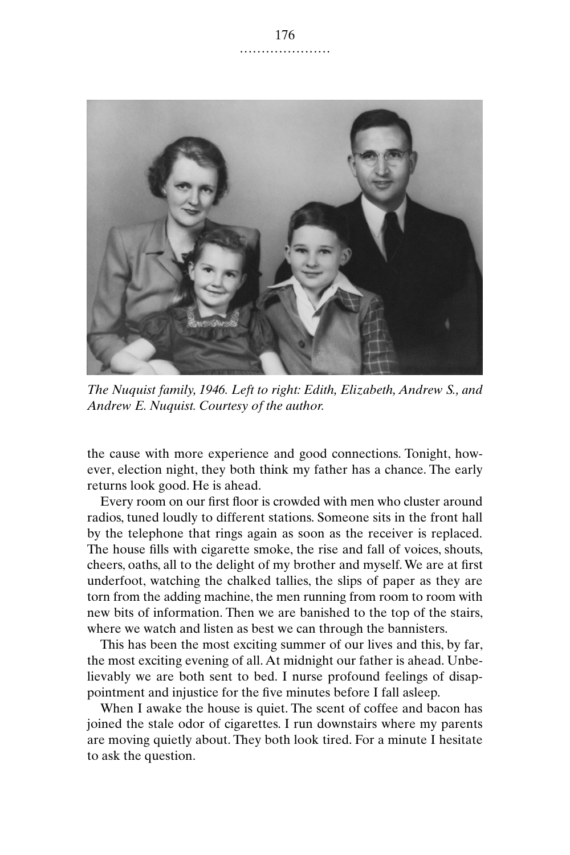

*The Nuquist family, 1946. Left to right: Edith, Elizabeth, Andrew S., and Andrew E. Nuquist. Courtesy of the author.*

the cause with more experience and good connections. Tonight, however, election night, they both think my father has a chance. The early returns look good. He is ahead.

Every room on our first floor is crowded with men who cluster around radios, tuned loudly to different stations. Someone sits in the front hall by the telephone that rings again as soon as the receiver is replaced. The house fills with cigarette smoke, the rise and fall of voices, shouts, cheers, oaths, all to the delight of my brother and myself. We are at first underfoot, watching the chalked tallies, the slips of paper as they are torn from the adding machine, the men running from room to room with new bits of information. Then we are banished to the top of the stairs, where we watch and listen as best we can through the bannisters.

This has been the most exciting summer of our lives and this, by far, the most exciting evening of all. At midnight our father is ahead. Unbelievably we are both sent to bed. I nurse profound feelings of disappointment and injustice for the five minutes before I fall asleep.

When I awake the house is quiet. The scent of coffee and bacon has joined the stale odor of cigarettes. I run downstairs where my parents are moving quietly about. They both look tired. For a minute I hesitate to ask the question.